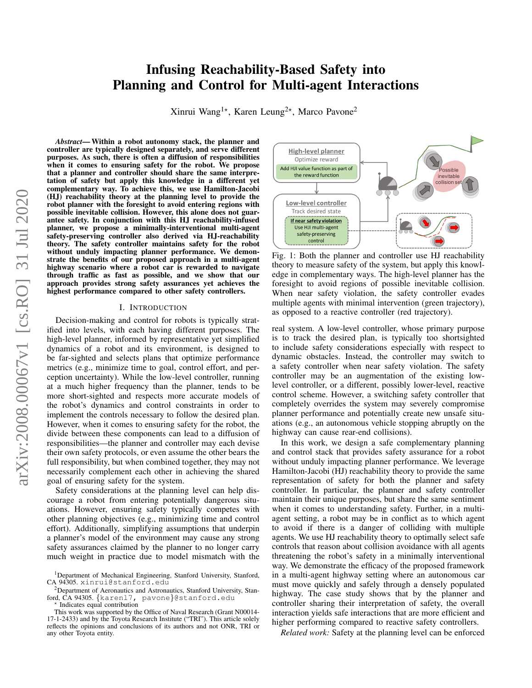# Infusing Reachability-Based Safety into Planning and Control for Multi-agent Interactions

Xinrui Wang<sup>1\*</sup>, Karen Leung<sup>2\*</sup>, Marco Pavone<sup>2</sup>

*Abstract*— Within a robot autonomy stack, the planner and controller are typically designed separately, and serve different purposes. As such, there is often a diffusion of responsibilities when it comes to ensuring safety for the robot. We propose that a planner and controller should share the same interpretation of safety but apply this knowledge in a different yet complementary way. To achieve this, we use Hamilton-Jacobi (HJ) reachability theory at the planning level to provide the robot planner with the foresight to avoid entering regions with possible inevitable collision. However, this alone does not guarantee safety. In conjunction with this HJ reachability-infused planner, we propose a minimally-interventional multi-agent safety-preserving controller also derived via HJ-reachability theory. The safety controller maintains safety for the robot without unduly impacting planner performance. We demonstrate the benefits of our proposed approach in a multi-agent highway scenario where a robot car is rewarded to navigate through traffic as fast as possible, and we show that our approach provides strong safety assurances yet achieves the highest performance compared to other safety controllers.

#### I. INTRODUCTION

Decision-making and control for robots is typically stratified into levels, with each having different purposes. The high-level planner, informed by representative yet simplified dynamics of a robot and its environment, is designed to be far-sighted and selects plans that optimize performance metrics (e.g., minimize time to goal, control effort, and perception uncertainty). While the low-level controller, running at a much higher frequency than the planner, tends to be more short-sighted and respects more accurate models of the robot's dynamics and control constraints in order to implement the controls necessary to follow the desired plan. However, when it comes to ensuring safety for the robot, the divide between these components can lead to a diffusion of responsibilities—the planner and controller may each devise their own safety protocols, or even assume the other bears the full responsibility, but when combined together, they may not necessarily complement each other in achieving the shared goal of ensuring safety for the system.

Safety considerations at the planning level can help discourage a robot from entering potentially dangerous situations. However, ensuring safety typically competes with other planning objectives (e.g., minimizing time and control effort). Additionally, simplifying assumptions that underpin a planner's model of the environment may cause any strong safety assurances claimed by the planner to no longer carry much weight in practice due to model mismatch with the

Indicates equal contribution

<span id="page-0-0"></span>

Fig. 1: Both the planner and controller use HJ reachability theory to measure safety of the system, but apply this knowledge in complementary ways. The high-level planner has the foresight to avoid regions of possible inevitable collision. When near safety violation, the safety controller evades multiple agents with minimal intervention (green trajectory), as opposed to a reactive controller (red trajectory).

real system. A low-level controller, whose primary purpose is to track the desired plan, is typically too shortsighted to include safety considerations especially with respect to dynamic obstacles. Instead, the controller may switch to a safety controller when near safety violation. The safety controller may be an augmentation of the existing lowlevel controller, or a different, possibly lower-level, reactive control scheme. However, a switching safety controller that completely overrides the system may severely compromise planner performance and potentially create new unsafe situations (e.g., an autonomous vehicle stopping abruptly on the highway can cause rear-end collisions).

In this work, we design a safe complementary planning and control stack that provides safety assurance for a robot without unduly impacting planner performance. We leverage Hamilton-Jacobi (HJ) reachability theory to provide the same representation of safety for both the planner and safety controller. In particular, the planner and safety controller maintain their unique purposes, but share the same sentiment when it comes to understanding safety. Further, in a multiagent setting, a robot may be in conflict as to which agent to avoid if there is a danger of colliding with multiple agents. We use HJ reachability theory to optimally select safe controls that reason about collision avoidance with all agents threatening the robot's safety in a minimally interventional way. We demonstrate the efficacy of the proposed framework in a multi-agent highway setting where an autonomous car must move quickly and safely through a densely populated highway. The case study shows that by the planner and controller sharing their interpretation of safety, the overall interaction yields safe interactions that are more efficient and higher performing compared to reactive safety controllers.

*Related work:* Safety at the planning level can be enforced

<sup>&</sup>lt;sup>1</sup>Department of Mechanical Engineering, Stanford University, Stanford, CA 94305. xinrui@stanford.edu

<sup>2</sup>Department of Aeronautics and Astronautics, Stanford University, Stanford, CA 94305. {karen17, pavone}@stanford.edu<br>\* Indicates equal contribution

This work was supported by the Office of Naval Research (Grant N00014- 17-1-2433) and by the Toyota Research Institute ("TRI"). This article solely reflects the opinions and conclusions of its authors and not ONR, TRI or any other Toyota entity.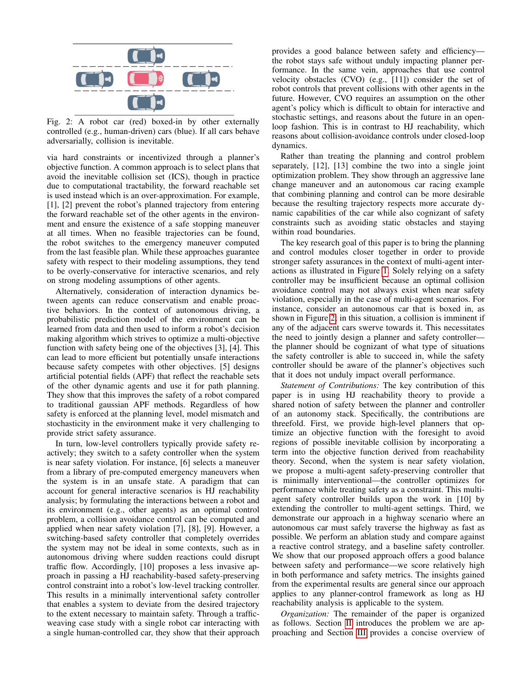<span id="page-1-0"></span>

Fig. 2: A robot car (red) boxed-in by other externally controlled (e.g., human-driven) cars (blue). If all cars behave adversarially, collision is inevitable.

via hard constraints or incentivized through a planner's objective function. A common approach is to select plans that avoid the inevitable collision set (ICS), though in practice due to computational tractability, the forward reachable set is used instead which is an over-approximation. For example, [1], [2] prevent the robot's planned trajectory from entering the forward reachable set of the other agents in the environment and ensure the existence of a safe stopping maneuver at all times. When no feasible trajectories can be found, the robot switches to the emergency maneuver computed from the last feasible plan. While these approaches guarantee safety with respect to their modeling assumptions, they tend to be overly-conservative for interactive scenarios, and rely on strong modeling assumptions of other agents.

Alternatively, consideration of interaction dynamics between agents can reduce conservatism and enable proactive behaviors. In the context of autonomous driving, a probabilistic prediction model of the environment can be learned from data and then used to inform a robot's decision making algorithm which strives to optimize a multi-objective function with safety being one of the objectives [3], [4]. This can lead to more efficient but potentially unsafe interactions because safety competes with other objectives. [5] designs artificial potential fields (APF) that reflect the reachable sets of the other dynamic agents and use it for path planning. They show that this improves the safety of a robot compared to traditional gaussian APF methods. Regardless of how safety is enforced at the planning level, model mismatch and stochasticity in the environment make it very challenging to provide strict safety assurance.

In turn, low-level controllers typically provide safety reactively; they switch to a safety controller when the system is near safety violation. For instance, [6] selects a maneuver from a library of pre-computed emergency maneuvers when the system is in an unsafe state. A paradigm that can account for general interactive scenarios is HJ reachability analysis; by formulating the interactions between a robot and its environment (e.g., other agents) as an optimal control problem, a collision avoidance control can be computed and applied when near safety violation [7], [8], [9]. However, a switching-based safety controller that completely overrides the system may not be ideal in some contexts, such as in autonomous driving where sudden reactions could disrupt traffic flow. Accordingly, [10] proposes a less invasive approach in passing a HJ reachability-based safety-preserving control constraint into a robot's low-level tracking controller. This results in a minimally interventional safety controller that enables a system to deviate from the desired trajectory to the extent necessary to maintain safety. Through a trafficweaving case study with a single robot car interacting with a single human-controlled car, they show that their approach provides a good balance between safety and efficiency the robot stays safe without unduly impacting planner performance. In the same vein, approaches that use control velocity obstacles (CVO) (e.g., [11]) consider the set of robot controls that prevent collisions with other agents in the future. However, CVO requires an assumption on the other agent's policy which is difficult to obtain for interactive and stochastic settings, and reasons about the future in an openloop fashion. This is in contrast to HJ reachability, which reasons about collision-avoidance controls under closed-loop dynamics.

Rather than treating the planning and control problem separately, [12], [13] combine the two into a single joint optimization problem. They show through an aggressive lane change maneuver and an autonomous car racing example that combining planning and control can be more desirable because the resulting trajectory respects more accurate dynamic capabilities of the car while also cognizant of safety constraints such as avoiding static obstacles and staying within road boundaries.

The key research goal of this paper is to bring the planning and control modules closer together in order to provide stronger safety assurances in the context of multi-agent interactions as illustrated in Figure [1.](#page-0-0) Solely relying on a safety controller may be insufficient because an optimal collision avoidance control may not always exist when near safety violation, especially in the case of multi-agent scenarios. For instance, consider an autonomous car that is boxed in, as shown in Figure [2;](#page-1-0) in this situation, a collision is imminent if any of the adjacent cars swerve towards it. This necessitates the need to jointly design a planner and safety controller the planner should be cognizant of what type of situations the safety controller is able to succeed in, while the safety controller should be aware of the planner's objectives such that it does not unduly impact overall performance.

*Statement of Contributions:* The key contribution of this paper is in using HJ reachability theory to provide a shared notion of safety between the planner and controller of an autonomy stack. Specifically, the contributions are threefold. First, we provide high-level planners that optimize an objective function with the foresight to avoid regions of possible inevitable collision by incorporating a term into the objective function derived from reachability theory. Second, when the system is near safety violation, we propose a multi-agent safety-preserving controller that is minimally interventional—the controller optimizes for performance while treating safety as a constraint. This multiagent safety controller builds upon the work in [10] by extending the controller to multi-agent settings. Third, we demonstrate our approach in a highway scenario where an autonomous car must safely traverse the highway as fast as possible. We perform an ablation study and compare against a reactive control strategy, and a baseline safety controller. We show that our proposed approach offers a good balance between safety and performance—we score relatively high in both performance and safety metrics. The insights gained from the experimental results are general since our approach applies to any planner-control framework as long as HJ reachability analysis is applicable to the system.

*Organization:* The remainder of the paper is organized as follows. Section [II](#page-2-0) introduces the problem we are approaching and Section [III](#page-2-1) provides a concise overview of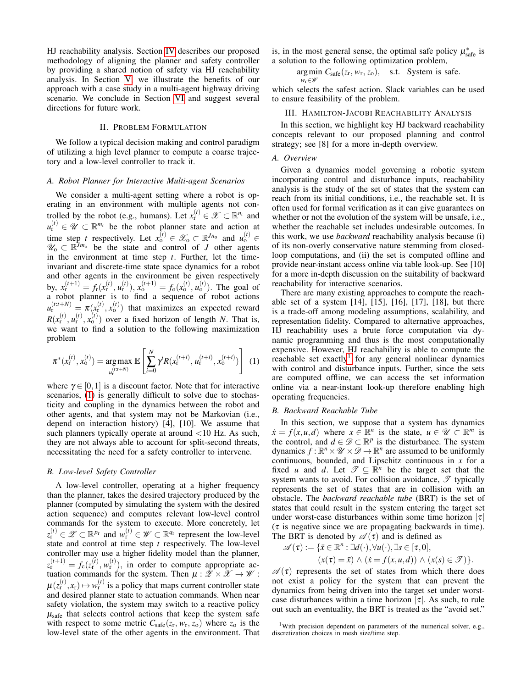HJ reachability analysis. Section [IV](#page-3-0) describes our proposed methodology of aligning the planner and safety controller by providing a shared notion of safety via HJ reachability analysis. In Section [V,](#page-4-0) we illustrate the benefits of our approach with a case study in a multi-agent highway driving scenario. We conclude in Section [VI](#page-7-0) and suggest several directions for future work.

# II. PROBLEM FORMULATION

<span id="page-2-0"></span>We follow a typical decision making and control paradigm of utilizing a high level planner to compute a coarse trajectory and a low-level controller to track it.

## *A. Robot Planner for Interactive Multi-agent Scenarios*

We consider a multi-agent setting where a robot is operating in an environment with multiple agents not controlled by the robot (e.g., humans). Let  $x_{r}^{(t)} \in \mathcal{X} \subset \mathbb{R}^{n_r}$  and  $u_{r}^{(t)} \in \mathscr{U} \subset \mathbb{R}^{m_{r}}$  be the robot planner state and action at time step *t* respectively. Let  $x_0^{(t)} \in \mathscr{X}_0 \subset \mathbb{R}^{Jn_0}$  and  $u_0^{(t)} \in$  $\mathscr{U}_0 \subset \mathbb{R}^{\frac{1}{J}m_0}$  be the state and control of *J* other agents in the environment at time step *t*. Further, let the timeinvariant and discrete-time state space dynamics for a robot and other agents in the environment be given respectively by,  $x_{\rm r}^{(t+1)} = f_{\rm r}(x_{\rm r}^{(t)}, u_{\rm r}^{(t)}), x_{\rm o}^{(t+1)} = f_{\rm o}(x_{\rm o}^{(t)}, u_{\rm o}^{(t)})$ . The goal of a robot planner is to find a sequence of robot actions  $u_{\rm r}^{(t:t+N)} = \pi(x_{\rm r}^{(t)}, x_{\rm o}^{(t)})$  that maximizes an expected reward  $R(x_1^{(t)}, u_1^{(t)}, x_0^{(t)})$  over a fixed horizon of length *N*. That is, we want to find a solution to the following maximization problem

$$
\pi^*(x_r^{(t)}, x_o^{(t)}) = \underset{u_r^{(t:t+N)}}{\arg \max} \mathbb{E}\left[\sum_{i=0}^N \dot{\gamma} R(x_r^{(t+i)}, u_r^{(t+i)}, x_o^{(t+i)})\right] \tag{1}
$$

where  $\gamma \in [0,1]$  is a discount factor. Note that for interactive scenarios, [\(1\)](#page-2-2) is generally difficult to solve due to stochasticity and coupling in the dynamics between the robot and other agents, and that system may not be Markovian (i.e., depend on interaction history) [4], [10]. We assume that such planners typically operate at around <10 Hz. As such, they are not always able to account for split-second threats, necessitating the need for a safety controller to intervene.

# *B. Low-level Safety Controller*

A low-level controller, operating at a higher frequency than the planner, takes the desired trajectory produced by the planner (computed by simulating the system with the desired action sequence) and computes relevant low-level control commands for the system to execute. More concretely, let  $z_{\text{r}}^{(t)} \in \mathscr{Z} \subset \mathbb{R}^{p_{\text{r}}}$  and  $w_{\text{r}}^{(t)} \in \mathscr{W} \subset \mathbb{R}^{q_{\text{r}}}$  represent the low-level state and control at time step *t* respectively. The low-level controller may use a higher fidelity model than the planner,  $z_{\rm r}^{(t+1)} = f_{\rm c}(z_{\rm r}^{(t)}, w_{\rm r}^{(t)})$ , in order to compute appropriate actuation commands for the system. Then  $\mu : \mathscr{Z} \times \mathscr{X} \to \mathscr{W}$ :  $\mu(z_r^{(t)}, x_r) \mapsto w_r^{(t)}$  is a policy that maps current controller state and desired planner state to actuation commands. When near safety violation, the system may switch to a reactive policy  $\mu_{\text{safe}}$  that selects control actions that keep the system safe with respect to some metric  $C_{\text{safe}}(z_r, w_r, z_o)$  where  $z_o$  is the low-level state of the other agents in the environment. That

is, in the most general sense, the optimal safe policy  $\mu^*_{\text{safe}}$  is a solution to the following optimization problem,

> $arg min C_{safe}(z_r, w_r, z_o)$ , s.t. System is safe. *w*r∈W

which selects the safest action. Slack variables can be used to ensure feasibility of the problem.

#### <span id="page-2-1"></span>III. HAMILTON-JACOBI REACHABILITY ANALYSIS

In this section, we highlight key HJ backward reachability concepts relevant to our proposed planning and control strategy; see [8] for a more in-depth overview.

## *A. Overview*

Given a dynamics model governing a robotic system incorporating control and disturbance inputs, reachability analysis is the study of the set of states that the system can reach from its initial conditions, i.e., the reachable set. It is often used for formal verification as it can give guarantees on whether or not the evolution of the system will be unsafe, i.e., whether the reachable set includes undesirable outcomes. In this work, we use *backward* reachability analysis because (i) of its non-overly conservative nature stemming from closedloop computations, and (ii) the set is computed offline and provide near-instant access online via table look-up. See [10] for a more in-depth discussion on the suitability of backward reachability for interactive scenarios.

There are many existing approaches to compute the reachable set of a system [14], [15], [16], [17], [18], but there is a trade-off among modeling assumptions, scalability, and representation fidelity. Compared to alternative approaches, HJ reachability uses a brute force computation via dynamic programming and thus is the most computationally expensive. However, HJ reachability is able to compute the reachable set exactly<sup>[1](#page-2-3)</sup> for any general nonlinear dynamics with control and disturbance inputs. Further, since the sets are computed offline, we can access the set information online via a near-instant look-up therefore enabling high operating frequencies.

# <span id="page-2-2"></span>*B. Backward Reachable Tube*

In this section, we suppose that a system has dynamics  $\dot{x} = f(x, u, d)$  where  $x \in \mathbb{R}^n$  is the state,  $u \in \mathcal{U} \subset \mathbb{R}^m$  is the control, and  $d \in \mathcal{D} \subset \mathbb{R}^p$  is the disturbance. The system dynamics  $\hat{f} : \mathbb{R}^n \times \mathcal{U} \times \mathcal{D} \to \mathbb{R}^n$  are assumed to be uniformly continuous, bounded, and Lipschitz continuous in *x* for a fixed *u* and *d*. Let  $\mathscr{T} \subseteq \mathbb{R}^n$  be the target set that the system wants to avoid. For collision avoidance,  $\mathscr T$  typically represents the set of states that are in collision with an obstacle. The *backward reachable tube* (BRT) is the set of states that could result in the system entering the target set under worst-case disturbances within some time horizon  $|\tau|$  $(\tau)$  is negative since we are propagating backwards in time). The BRT is denoted by  $\mathscr{A}(\tau)$  and is defined as

$$
\mathscr{A}(\tau) := \{ \bar{x} \in \mathbb{R}^n : \exists d(\cdot), \forall u(\cdot), \exists s \in [\tau, 0], \\ (x(\tau) = \bar{x}) \land (\dot{x} = f(x, u, d)) \land (x(s) \in \mathscr{T}) \}.
$$

 $\mathscr{A}(\tau)$  represents the set of states from which there does not exist a policy for the system that can prevent the dynamics from being driven into the target set under worstcase disturbances within a time horizon  $|\tau|$ . As such, to rule out such an eventuality, the BRT is treated as the "avoid set."

<span id="page-2-3"></span><sup>&</sup>lt;sup>1</sup>With precision dependent on parameters of the numerical solver, e.g., discretization choices in mesh size/time step.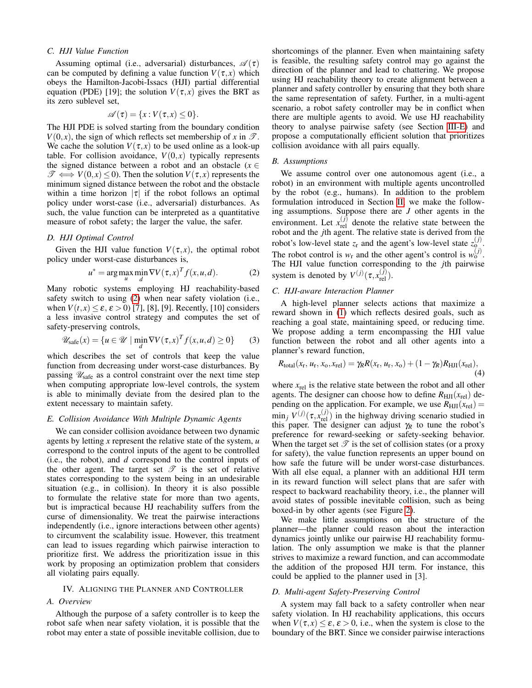# *C. HJI Value Function*

Assuming optimal (i.e., adversarial) disturbances,  $\mathscr{A}(\tau)$ can be computed by defining a value function  $V(\tau, x)$  which obeys the Hamilton-Jacobi-Issacs (HJI) partial differential equation (PDE) [19]; the solution  $V(\tau, x)$  gives the BRT as its zero sublevel set,

$$
\mathscr{A}(\tau) = \{x : V(\tau, x) \leq 0\}.
$$

The HJI PDE is solved starting from the boundary condition  $V(0, x)$ , the sign of which reflects set membership of *x* in  $\mathscr{T}$ . We cache the solution  $V(\tau, x)$  to be used online as a look-up table. For collision avoidance,  $V(0, x)$  typically represents the signed distance between a robot and an obstacle ( $x \in$  $\mathscr{T} \iff V(0, x) \leq 0$ . Then the solution  $V(\tau, x)$  represents the minimum signed distance between the robot and the obstacle within a time horizon  $|\tau|$  if the robot follows an optimal policy under worst-case (i.e., adversarial) disturbances. As such, the value function can be interpreted as a quantitative measure of robot safety; the larger the value, the safer.

## *D. HJI Optimal Control*

Given the HJI value function  $V(\tau, x)$ , the optimal robot policy under worst-case disturbances is,

$$
u^* = \arg\max_{u} \min_{d} \nabla V(\tau, x)^T f(x, u, d).
$$
 (2)

Many robotic systems employing HJ reachability-based safety switch to using [\(2\)](#page-3-1) when near safety violation (i.e., when  $V(t, x) \leq \varepsilon$ ,  $\varepsilon > 0$  [7], [8], [9]. Recently, [10] considers a less invasive control strategy and computes the set of safety-preserving controls,

$$
\mathscr{U}_{\text{safe}}(x) = \{ u \in \mathscr{U} \mid \min_{d} \nabla V(\tau, x)^T f(x, u, d) \ge 0 \} \tag{3}
$$

which describes the set of controls that keep the value function from decreasing under worst-case disturbances. By passing  $\mathscr{U}_{\text{safe}}$  as a control constraint over the next time step when computing appropriate low-level controls, the system is able to minimally deviate from the desired plan to the extent necessary to maintain safety.

# <span id="page-3-2"></span>*E. Collision Avoidance With Multiple Dynamic Agents*

We can consider collision avoidance between two dynamic agents by letting *x* represent the relative state of the system, *u* correspond to the control inputs of the agent to be controlled (i.e., the robot), and *d* correspond to the control inputs of the other agent. The target set  $\mathscr T$  is the set of relative states corresponding to the system being in an undesirable situation (e.g., in collision). In theory it is also possible to formulate the relative state for more than two agents, but is impractical because HJ reachability suffers from the curse of dimensionality. We treat the pairwise interactions independently (i.e., ignore interactions between other agents) to circumvent the scalability issue. However, this treatment can lead to issues regarding which pairwise interaction to prioritize first. We address the prioritization issue in this work by proposing an optimization problem that considers all violating pairs equally.

#### IV. ALIGNING THE PLANNER AND CONTROLLER

# <span id="page-3-0"></span>*A. Overview*

Although the purpose of a safety controller is to keep the robot safe when near safety violation, it is possible that the robot may enter a state of possible inevitable collision, due to shortcomings of the planner. Even when maintaining safety is feasible, the resulting safety control may go against the direction of the planner and lead to chattering. We propose using HJ reachability theory to create alignment between a planner and safety controller by ensuring that they both share the same representation of safety. Further, in a multi-agent scenario, a robot safety controller may be in conflict when there are multiple agents to avoid. We use HJ reachability theory to analyse pairwise safety (see Section [III-E\)](#page-3-2) and propose a computationally efficient solution that prioritizes collision avoidance with all pairs equally.

#### *B. Assumptions*

We assume control over one autonomous agent (i.e., a robot) in an environment with multiple agents uncontrolled by the robot (e.g., humans). In addition to the problem formulation introduced in Section [II,](#page-2-0) we make the following assumptions. Suppose there are *J* other agents in the environment. Let  $x_{rel}^{(j)}$  denote the relative state between the robot and the *j*th agent. The relative state is derived from the robot's low-level state  $z_r$  and the agent's low-level state  $z_0^{(j)}$ . The robot control is  $w_r$  and the other agent's control is  $w_0^{(j)}$ . The HJI value function corresponding to the *j*th pairwise system is denoted by  $V^{(j)}(\tau, x_{rel}^{(j)})$ .

# <span id="page-3-1"></span>*C. HJI-aware Interaction Planner*

<span id="page-3-3"></span>A high-level planner selects actions that maximize a reward shown in [\(1\)](#page-2-2) which reflects desired goals, such as reaching a goal state, maintaining speed, or reducing time. We propose adding a term encompassing the HJI value function between the robot and all other agents into a planner's reward function,

<span id="page-3-4"></span>
$$
R_{\text{total}}(x_{\text{r}}, u_{\text{r}}, x_{\text{o}}, x_{\text{rel}}) = \gamma_R R(x_{\text{r}}, u_{\text{r}}, x_{\text{o}}) + (1 - \gamma_R) R_{\text{HJI}}(x_{\text{rel}}),
$$
\n(4)

where  $x_{rel}$  is the relative state between the robot and all other agents. The designer can choose how to define  $R_{\text{HJI}}(x_{\text{rel}})$  depending on the application. For example, we use  $R_{\text{HJI}}(x_{\text{rel}}) =$  $\min_j V^{(j)}(\tau, x_{rel}^{(j)})$  in the highway driving scenario studied in this paper. The designer can adjust  $\gamma_R$  to tune the robot's preference for reward-seeking or safety-seeking behavior. When the target set  $\mathcal T$  is the set of collision states (or a proxy for safety), the value function represents an upper bound on how safe the future will be under worst-case disturbances. With all else equal, a planner with an additional HJI term in its reward function will select plans that are safer with respect to backward reachability theory, i.e., the planner will avoid states of possible inevitable collision, such as being boxed-in by other agents (see Figure [2\)](#page-1-0).

We make little assumptions on the structure of the planner—the planner could reason about the interaction dynamics jointly unlike our pairwise HJ reachability formulation. The only assumption we make is that the planner strives to maximize a reward function, and can accommodate the addition of the proposed HJI term. For instance, this could be applied to the planner used in [3].

# *D. Multi-agent Safety-Preserving Control*

A system may fall back to a safety controller when near safety violation. In HJ reachability applications, this occurs when  $V(\tau, x) \leq \varepsilon$ ,  $\varepsilon > 0$ , i.e., when the system is close to the boundary of the BRT. Since we consider pairwise interactions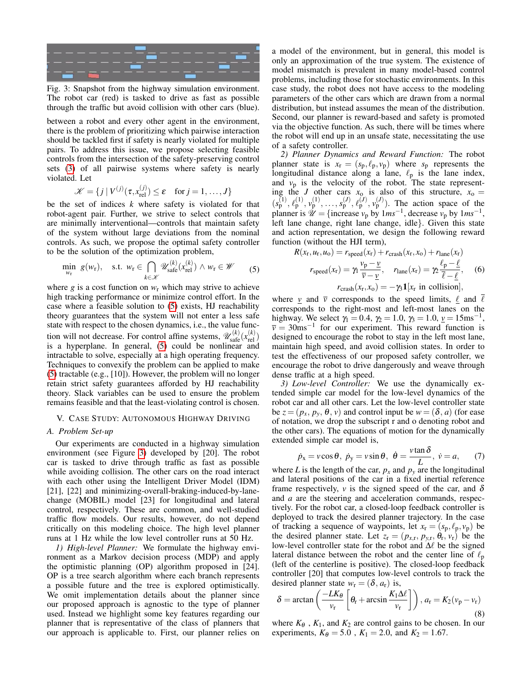<span id="page-4-2"></span>

Fig. 3: Snapshot from the highway simulation environment. The robot car (red) is tasked to drive as fast as possible through the traffic but avoid collision with other cars (blue).

between a robot and every other agent in the environment, there is the problem of prioritizing which pairwise interaction should be tackled first if safety is nearly violated for multiple pairs. To address this issue, we propose selecting feasible controls from the intersection of the safety-preserving control sets [\(3\)](#page-3-3) of all pairwise systems where safety is nearly violated. Let

$$
\mathcal{K} = \{j \mid V^{(j)}(\tau, x_{\text{rel}}^{(j)}) \le \varepsilon \quad \text{for } j = 1, ..., J\}
$$

be the set of indices *k* where safety is violated for that robot-agent pair. Further, we strive to select controls that are minimally interventional—controls that maintain safety of the system without large deviations from the nominal controls. As such, we propose the optimal safety controller to be the solution of the optimization problem,

<span id="page-4-1"></span>
$$
\min_{w_{\rm r}} g(w_{\rm r}), \quad \text{s.t. } w_{\rm r} \in \bigcap_{k \in \mathcal{K}} \mathscr{U}_{\rm safe}^{(k)}(x_{\rm rel}^{(k)}) \wedge w_{\rm r} \in \mathscr{W} \tag{5}
$$

where *g* is a cost function on  $w_r$  which may strive to achieve high tracking performance or minimize control effort. In the case where a feasible solution to [\(5\)](#page-4-1) exists, HJ reachability theory guarantees that the system will not enter a less safe state with respect to the chosen dynamics, i.e., the value function will not decrease. For control affine systems,  $\mathscr{U}_{\text{safe}}^{(k)}(x_{\text{rel}}^{(k)})$ is a hyperplane. In general, [\(5\)](#page-4-1) could be nonlinear and intractable to solve, especially at a high operating frequency. Techniques to convexify the problem can be applied to make [\(5\)](#page-4-1) tractable (e.g., [10]). However, the problem will no longer retain strict safety guarantees afforded by HJ reachability theory. Slack variables can be used to ensure the problem remains feasible and that the least-violating control is chosen.

#### <span id="page-4-0"></span>V. CASE STUDY: AUTONOMOUS HIGHWAY DRIVING

## *A. Problem Set-up*

Our experiments are conducted in a highway simulation environment (see Figure [3\)](#page-4-2) developed by [20]. The robot car is tasked to drive through traffic as fast as possible while avoiding collision. The other cars on the road interact with each other using the Intelligent Driver Model (IDM) [21], [22] and minimizing-overall-braking-induced-by-lanechange (MOBIL) model [23] for longitudinal and lateral control, respectively. These are common, and well-studied traffic flow models. Our results, however, do not depend critically on this modeling choice. The high level planner runs at 1 Hz while the low level controller runs at 50 Hz.

*1) High-level Planner:* We formulate the highway environment as a Markov decision process (MDP) and apply the optimistic planning (OP) algorithm proposed in [24]. OP is a tree search algorithm where each branch represents a possible future and the tree is explored optimistically. We omit implementation details about the planner since our proposed approach is agnostic to the type of planner used. Instead we highlight some key features regarding our planner that is representative of the class of planners that our approach is applicable to. First, our planner relies on a model of the environment, but in general, this model is only an approximation of the true system. The existence of model mismatch is prevalent in many model-based control problems, including those for stochastic environments. In this case study, the robot does not have access to the modeling parameters of the other cars which are drawn from a normal distribution, but instead assumes the mean of the distribution. Second, our planner is reward-based and safety is promoted via the objective function. As such, there will be times where the robot will end up in an unsafe state, necessitating the use of a safety controller.

*2) Planner Dynamics and Reward Function:* The robot planner state is  $x_r = (s_p, \ell_p, v_p)$  where  $s_p$  represents the longitudinal distance along a lane,  $\ell_p$  is the lane index, and  $v_p$  is the velocity of the robot. The state representing the *J* other cars  $x_0$  is also of this structure,  $x_0 =$  $(s_p^{(1)}, \ell_p^{(1)}, v_p^{(1)}, \ldots, s_p^{(J)}, \ell_p^{(J)}, v_p^{(J)})$ . The action space of the planner is  $\hat{\mathcal{U}} = \{ \text{increase } v_p \text{ by } 1ms^{-1}, \text{ decrease } v_p \text{ by } 1ms^{-1}, \text{ }$ left lane change, right lane change, idle}. Given this state and action representation, we design the following reward function (without the HJI term),

$$
R(x_{\rm r}, u_{\rm r}, u_{\rm o}) = r_{\rm speed}(x_{\rm r}) + r_{\rm crash}(x_{\rm r}, x_{\rm o}) + r_{\rm lane}(x_{\rm r})
$$

$$
r_{\rm speed}(x_{\rm r}) = \gamma_1 \frac{v_{\rm p} - \underline{v}}{\overline{v} - \underline{v}}, \quad r_{\rm lane}(x_{\rm r}) = \gamma_2 \frac{\ell_{\rm p} - \underline{\ell}}{\overline{\ell} - \underline{\ell}}, \quad (6)
$$

$$
r_{\rm crash}(x_{\rm r}, x_{\rm o}) = -\gamma_3 \mathbf{1}[x_{\rm r} \text{ in collision}],
$$

where  $\underline{v}$  and  $\overline{v}$  corresponds to the speed limits,  $\underline{\ell}$  and  $\ell$ corresponds to the right-most and left-most lanes on the highway. We select  $\gamma_1 = 0.4$ ,  $\gamma_2 = 1.0$ ,  $\gamma_3 = 1.0$ ,  $\nu = 15$ ms<sup>-1</sup>,  $\overline{v} = 30$ ms<sup>-1</sup> for our experiment. This reward function is designed to encourage the robot to stay in the left most lane, maintain high speed, and avoid collision states. In order to test the effectiveness of our proposed safety controller, we encourage the robot to drive dangerously and weave through dense traffic at a high speed.

*3) Low-level Controller:* We use the dynamically extended simple car model for the low-level dynamics of the robot car and all other cars. Let the low-level controller state be  $z = (p_x, p_y, \theta, v)$  and control input be  $w = (\delta, a)$  (for ease of notation, we drop the subscript r and o denoting robot and the other cars). The equations of motion for the dynamically extended simple car model is,

<span id="page-4-3"></span>
$$
\dot{p}_x = v \cos \theta, \ \dot{p}_y = v \sin \theta, \ \dot{\theta} = \frac{v \tan \delta}{L}, \ \dot{v} = a,
$$
 (7)

where *L* is the length of the car,  $p_x$  and  $p_y$  are the longitudinal and lateral positions of the car in a fixed inertial reference frame respectively,  $\nu$  is the signed speed of the car, and  $\delta$ and *a* are the steering and acceleration commands, respectively. For the robot car, a closed-loop feedback controller is deployed to track the desired planner trajectory. In the case of tracking a sequence of waypoints, let  $x_r = (s_p, \ell_p, v_p)$  be the desired planner state. Let  $z_r = (p_{x,r}, p_{y,r}, \theta_r, v_r)$  be the low-level controller state for the robot and  $\Delta\ell$  be the signed lateral distance between the robot and the center line of  $\ell_p$ (left of the centerline is positive). The closed-loop feedback controller [20] that computes low-level controls to track the desired planner state  $w_r = (\delta, a_r)$  is,

<span id="page-4-4"></span>
$$
\delta = \arctan\left(\frac{-LK_{\theta}}{v_{\rm r}}\left[\theta_{\rm r} + \arcsin\frac{K_1\Delta\ell}{v_{\rm r}}\right]\right), a_{\rm r} = K_2(v_{\rm p} - v_{\rm r})
$$
\n(8)

where  $K_{\theta}$ ,  $K_1$ , and  $K_2$  are control gains to be chosen. In our experiments,  $K_{\theta} = 5.0$ ,  $K_1 = 2.0$ , and  $K_2 = 1.67$ .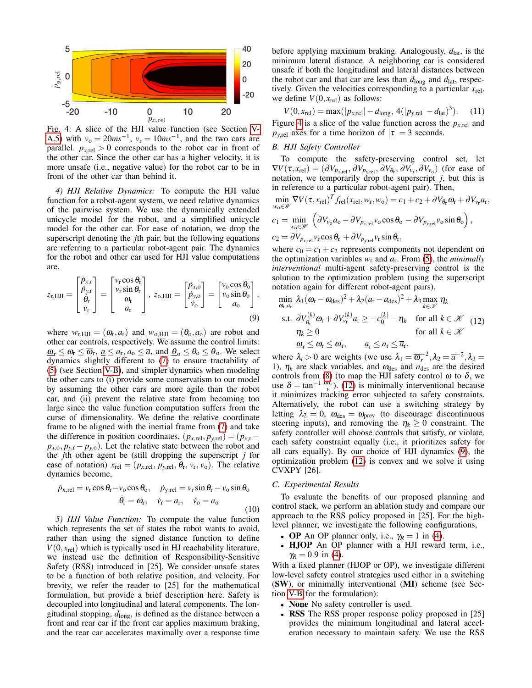<span id="page-5-2"></span>

Fig. 4: A slice of the HJI value function (see Section [V-](#page-5-0)[A.5\)](#page-5-0) with  $v_0 = 20ms^{-1}$ ,  $v_r = 10ms^{-1}$ , and the two cars are parallel.  $p_{x,rel} > 0$  corresponds to the robot car in front of the other car. Since the other car has a higher velocity, it is more unsafe (i.e., negative value) for the robot car to be in front of the other car than behind it.

*4) HJI Relative Dynamics:* To compute the HJI value function for a robot-agent system, we need relative dynamics of the pairwise system. We use the dynamically extended unicycle model for the robot, and a simplified unicycle model for the other car. For ease of notation, we drop the superscript denoting the *j*th pair, but the following equations are referring to a particular robot-agent pair. The dynamics for the robot and other car used for HJI value computations are,

$$
z_{\rm r, HJI} = \begin{bmatrix} \dot{p}_{x,\rm r} \\ \dot{p}_{y,\rm r} \\ \dot{\theta}_{\rm r} \\ \dot{v}_{\rm r} \end{bmatrix} = \begin{bmatrix} v_{\rm r} \cos \theta_{\rm r} \\ v_{\rm r} \sin \theta_{\rm r} \\ \omega_{\rm r} \\ a_{\rm r} \end{bmatrix}, \ z_{\rm o, HJI} = \begin{bmatrix} \dot{p}_{x,\rm o} \\ \dot{p}_{y,\rm o} \\ \dot{v}_{\rm o} \end{bmatrix} = \begin{bmatrix} v_{\rm o} \cos \theta_{\rm o} \\ v_{\rm o} \sin \theta_{\rm o} \\ a_{\rm o} \end{bmatrix}, \tag{9}
$$

where  $w_{r,HJI} = (\omega_r, a_r)$  and  $w_{o,HJI} = (\theta_o, a_o)$  are robot and other car controls, respectively. We assume the control limits:  $\underline{\omega}_{r} \leq \omega_{r} \leq \overline{\omega}_{r}, \underline{a} \leq a_{r}, a_{o} \leq \overline{a}$ , and  $\underline{\theta}_{o} \leq \theta_{o} \leq \overline{\theta}_{o}$ . We select dynamics slightly different to [\(7\)](#page-4-3) to ensure tractability of [\(5\)](#page-4-1) (see Section [V-B\)](#page-5-1), and simpler dynamics when modeling the other cars to (i) provide some conservatism to our model by assuming the other cars are more agile than the robot car, and (ii) prevent the relative state from becoming too large since the value function computation suffers from the curse of dimensionality. We define the relative coordinate frame to be aligned with the inertial frame from [\(7\)](#page-4-3) and take the difference in position coordinates,  $(p_{x,\text{rel}}, p_{y,\text{rel}}) = (p_{x,\text{r}} - p_{y,\text{rel}})$  $p_{x,0}, p_{y,r} - p_{y,0}$ . Let the relative state between the robot and the *j*th other agent be (still dropping the superscript *j* for ease of notation)  $x_{rel} = (p_{x,rel}, p_{y,rel}, \theta_r, v_r, v_o)$ . The relative dynamics become,

$$
\dot{p}_{x,rel} = v_r \cos \theta_r - v_o \cos \theta_o, \quad \dot{p}_{y,rel} = v_r \sin \theta_r - v_o \sin \theta_o
$$

$$
\dot{\theta}_r = \omega_r, \quad \dot{v}_r = a_r, \quad \dot{v}_o = a_o \tag{10}
$$

<span id="page-5-0"></span>*5) HJI Value Function:* To compute the value function which represents the set of states the robot wants to avoid, rather than using the signed distance function to define  $V(0, x_{rel})$  which is typically used in HJ reachability literature, we instead use the definition of Responsibility-Sensitive Safety (RSS) introduced in [25]. We consider unsafe states to be a function of both relative position, and velocity. For brevity, we refer the reader to [25] for the mathematical formulation, but provide a brief description here. Safety is decoupled into longitudinal and lateral components. The longitudinal stopping, *d*long, is defined as the distance between a front and rear car if the front car applies maximum braking, and the rear car accelerates maximally over a response time before applying maximum braking. Analogously,  $d_{\text{lat}}$ , is the minimum lateral distance. A neighboring car is considered unsafe if both the longitudinal and lateral distances between the robot car and that car are less than  $d_{\text{long}}$  and  $d_{\text{lat}}$ , respectively. Given the velocities corresponding to a particular  $x_{\text{rel}}$ , we define  $V(0, x_{rel})$  as follows:

 $V(0, x_{rel}) = \max(|p_{x,rel}| - d_{long}, 4(|p_{y,rel}| - d_{lat})^3).$  (11)

Figure [4](#page-5-2) is a slice of the value function across the  $p_{x,\text{rel}}$  and *p*<sub>*y*,rel</sub> axes for a time horizon of  $|\tau| = 3$  seconds.

# <span id="page-5-1"></span>*B. HJI Safety Controller*

To compute the safety-preserving control set, let  $\nabla V(\tau, x_{rel}) = (\partial V_{p_{x,rel}}, \partial V_{p_{y,rel}}, \partial V_{\theta_{r}}, \partial V_{v_{r}}, \partial V_{v_{o}})$  (for ease of notation, we temporarily drop the superscript *j*, but this is in reference to a particular robot-agent pair). Then,

$$
\min_{w_0 \in \mathcal{W}} \nabla V(\tau, x_{\text{rel}})^T f_{\text{rel}}(x_{\text{rel}}, w_{\text{r}}, w_0) = c_1 + c_2 + \partial V_{\theta_{\text{r}}} \omega_{\text{r}} + \partial V_{v_{\text{r}}} a_{\text{r}},
$$
\n
$$
c_1 = \min_{w_0 \in \mathcal{W}} \left( \partial V_{v_0} a_0 - \partial V_{p_{\text{x,rel}}} v_0 \cos \theta_0 - \partial V_{p_{\text{y,rel}}} v_0 \sin \theta_0 \right),
$$
\n
$$
c_2 = \partial V_{p_{\text{x,rel}}} v_{\text{r}} \cos \theta_{\text{r}} + \partial V_{p_{\text{y,rel}}} v_{\text{r}} \sin \theta_{\text{r}},
$$

where  $c_0 = c_1 + c_2$  represents components not dependent on the optimization variables  $w_r$  and  $a_r$ . From [\(5\)](#page-4-1), the *minimally interventional* multi-agent safety-preserving control is the solution to the optimization problem (using the superscript notation again for different robot-agent pairs),

<span id="page-5-4"></span><span id="page-5-3"></span>
$$
\min_{\omega_{\text{t}},a_{\text{r}}} \lambda_1 (\omega_{\text{r}} - \omega_{\text{des}})^2 + \lambda_2 (a_{\text{r}} - a_{\text{des}})^2 + \lambda_3 \max_{k \in \mathcal{K}} \eta_k
$$
\n
$$
\text{s.t. } \partial V_{\theta_{\text{r}}}^{(k)} \omega_{\text{r}} + \partial V_{\nu_{\text{r}}}^{(k)} a_{\text{r}} \ge -c_0^{(k)} - \eta_k \quad \text{for all } k \in \mathcal{K} \quad (12)
$$
\n
$$
\eta_k \ge 0 \qquad \text{for all } k \in \mathcal{K} \quad (12)
$$
\n
$$
\underline{\omega}_{\text{r}} \le \omega_{\text{r}} \le \overline{\omega}_{\text{r}}, \qquad \underline{a}_{\text{r}} \le a_{\text{r}} \le \overline{a}_{\text{r}}.
$$

where  $\lambda_i > 0$  are weights (we use  $\lambda_1 = \overline{\omega}_r^{-2}, \lambda_2 = \overline{a}^{-2}, \lambda_3 =$ 1),  $\eta_k$  are slack variables, and  $\omega_{\text{des}}$  and  $a_{\text{des}}$  are the desired controls from [\(8\)](#page-4-4) (to map the HJI safety control  $\omega$  to  $\delta$ , we use  $\delta = \tan^{-1} \frac{\omega L}{v}$ . [\(12\)](#page-5-3) is minimally interventional because it minimizes tracking error subjected to safety constraints. Alternatively, the robot can use a switching strategy by letting  $\lambda_2 = 0$ ,  $\omega_{\text{des}} = \omega_{\text{prev}}$  (to discourage discontinuous steering inputs), and removing the  $\eta_k \geq 0$  constraint. The safety controller will choose controls that satisfy, or violate, each safety constraint equally (i.e., it prioritizes safety for all cars equally). By our choice of HJI dynamics [\(9\)](#page-5-4), the optimization problem [\(12\)](#page-5-3) is convex and we solve it using CVXPY [26].

# *C. Experimental Results*

To evaluate the benefits of our proposed planning and control stack, we perform an ablation study and compare our approach to the RSS policy proposed in [25]. For the highlevel planner, we investigate the following configurations,

- **OP** An OP planner only, i.e.,  $\gamma_R = 1$  in [\(4\)](#page-3-4).
- HJOP An OP planner with a HJI reward term, i.e.,  $\gamma_R = 0.9$  in [\(4\)](#page-3-4).

With a fixed planner (HJOP or OP), we investigate different low-level safety control strategies used either in a switching (SW), or minimally interventional (MI) scheme (see Section [V-B](#page-5-1) for the formulation):

- **None** No safety controller is used.
- RSS The RSS proper response policy proposed in [25] provides the minimum longitudinal and lateral acceleration necessary to maintain safety. We use the RSS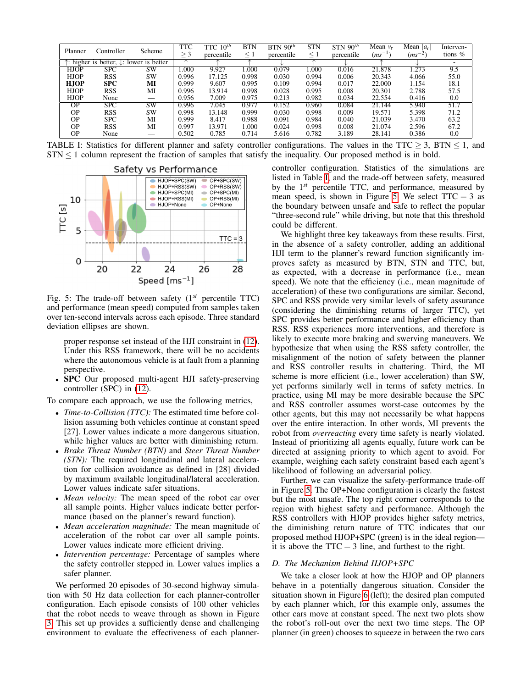<span id="page-6-0"></span>

| Planner                                                       | Controller | Scheme | TTC<br>$\geq$ 3 | $10^{th}$<br>TTC-<br>percentile | <b>BTN</b><br>$\leq 1$ | $BTN$ 90 <sup>th</sup><br>percentile | <b>STN</b><br>$\leq 1$ | $STN$ 90 <sup>th</sup><br>percentile | Mean $v_r$<br>$(ms^{-1})$ | Mean $ a_r $<br>$(ms^{-2})$ | Interven-<br>tions $%$   |
|---------------------------------------------------------------|------------|--------|-----------------|---------------------------------|------------------------|--------------------------------------|------------------------|--------------------------------------|---------------------------|-----------------------------|--------------------------|
| $\uparrow$ : higher is better, $\downarrow$ : lower is better |            |        |                 |                                 |                        |                                      |                        |                                      |                           |                             | $\overline{\phantom{a}}$ |
| <b>HJOP</b>                                                   | <b>SPC</b> | SW     | 1.000           | 9.927                           | 1.000                  | 0.079                                | 1.000                  | 0.016                                | 21.878                    | 1.273                       | 9.5                      |
| <b>HJOP</b>                                                   | <b>RSS</b> | SW     | 0.996           | 17.125                          | 0.998                  | 0.030                                | 0.994                  | 0.006                                | 20.343                    | 4.066                       | 55.0                     |
| <b>HJOP</b>                                                   | <b>SPC</b> | МI     | 0.999           | 9.607                           | 0.995                  | 0.109                                | 0.994                  | 0.017                                | 22.000                    | 1.154                       | 18.1                     |
| <b>HJOP</b>                                                   | <b>RSS</b> | MI     | 0.996           | 13.914                          | 0.998                  | 0.028                                | 0.995                  | 0.008                                | 20.301                    | 2.788                       | 57.5                     |
| <b>HJOP</b>                                                   | None       |        | 0.956           | 7.009                           | 0.975                  | 0.213                                | 0.982                  | 0.034                                | 22.554                    | 0.416                       | 0.0                      |
| $\overline{OP}$                                               | <b>SPC</b> | SW     | 0.996           | 7.045                           | 0.977                  | 0.152                                | 0.960                  | 0.084                                | 21.144                    | 5.940                       | 51.7                     |
| <b>OP</b>                                                     | <b>RSS</b> | SW     | 0.998           | 13.148                          | 0.999                  | 0.030                                | 0.998                  | 0.009                                | 19.571                    | 5.398                       | 71.2                     |
| <b>OP</b>                                                     | <b>SPC</b> | MI     | 0.999           | 8.417                           | 0.988                  | 0.091                                | 0.984                  | 0.040                                | 21.039                    | 3.470                       | 63.2                     |
| <b>OP</b>                                                     | <b>RSS</b> | MI     | 0.997           | 13.971                          | 1.000                  | 0.024                                | 0.998                  | 0.008                                | 21.074                    | 2.596                       | 67.2                     |
| <b>OP</b>                                                     | None       |        | 0.502           | 0.785                           | 0.714                  | 5.616                                | 0.782                  | 3.189                                | 28.141                    | 0.386                       | 0.0                      |

TABLE I: Statistics for different planner and safety controller configurations. The values in the TTC  $\geq$  3, BTN  $\leq$  1, and  $STN \leq 1$  column represent the fraction of samples that satisfy the inequality. Our proposed method is in bold.

<span id="page-6-1"></span>

Fig. 5: The trade-off between safety (1*st* percentile TTC) and performance (mean speed) computed from samples taken over ten-second intervals across each episode. Three standard deviation ellipses are shown.

proper response set instead of the HJI constraint in [\(12\)](#page-5-3). Under this RSS framework, there will be no accidents where the autonomous vehicle is at fault from a planning perspective.

• SPC Our proposed multi-agent HJI safety-preserving controller (SPC) in [\(12\)](#page-5-3).

To compare each approach, we use the following metrics,

- *Time-to-Collision (TTC):* The estimated time before collision assuming both vehicles continue at constant speed [27]. Lower values indicate a more dangerous situation, while higher values are better with diminishing return.
- *Brake Threat Number (BTN)* and *Steer Threat Number (STN):* The required longitudinal and lateral acceleration for collision avoidance as defined in [28] divided by maximum available longitudinal/lateral acceleration. Lower values indicate safer situations.
- *Mean velocity:* The mean speed of the robot car over all sample points. Higher values indicate better performance (based on the planner's reward function).
- *Mean acceleration magnitude:* The mean magnitude of acceleration of the robot car over all sample points. Lower values indicate more efficient driving.
- *Intervention percentage:* Percentage of samples where the safety controller stepped in. Lower values implies a safer planner.

We performed 20 episodes of 30-second highway simulation with 50 Hz data collection for each planner-controller configuration. Each episode consists of 100 other vehicles that the robot needs to weave through as shown in Figure [3.](#page-4-2) This set up provides a sufficiently dense and challenging environment to evaluate the effectiveness of each plannercontroller configuration. Statistics of the simulations are listed in Table [I,](#page-6-0) and the trade-off between safety, measured by the 1*st* percentile TTC, and performance, measured by mean speed, is shown in Figure [5.](#page-6-1) We select  $TTC = 3$  as the boundary between unsafe and safe to reflect the popular "three-second rule" while driving, but note that this threshold could be different.

We highlight three key takeaways from these results. First, in the absence of a safety controller, adding an additional HJI term to the planner's reward function significantly improves safety as measured by BTN, STN and TTC, but, as expected, with a decrease in performance (i.e., mean speed). We note that the efficiency (i.e., mean magnitude of acceleration) of these two configurations are similar. Second, SPC and RSS provide very similar levels of safety assurance (considering the diminishing returns of larger TTC), yet SPC provides better performance and higher efficiency than RSS. RSS experiences more interventions, and therefore is likely to execute more braking and swerving maneuvers. We hypothesize that when using the RSS safety controller, the misalignment of the notion of safety between the planner and RSS controller results in chattering. Third, the MI scheme is more efficient (i.e., lower acceleration) than SW, yet performs similarly well in terms of safety metrics. In practice, using MI may be more desirable because the SPC and RSS controller assumes worst-case outcomes by the other agents, but this may not necessarily be what happens over the entire interaction. In other words, MI prevents the robot from *overreacting* every time safety is nearly violated. Instead of prioritizing all agents equally, future work can be directed at assigning priority to which agent to avoid. For example, weighing each safety constraint based each agent's likelihood of following an adversarial policy.

Further, we can visualize the safety-performance trade-off in Figure [5.](#page-6-1) The OP+None configuration is clearly the fastest but the most unsafe. The top right corner corresponds to the region with highest safety and performance. Although the RSS controllers with HJOP provides higher safety metrics, the diminishing return nature of TTC indicates that our proposed method HJOP+SPC (green) is in the ideal region it is above the  $TTC = 3$  line, and furthest to the right.

# *D. The Mechanism Behind HJOP+SPC*

We take a closer look at how the HJOP and OP planners behave in a potentially dangerous situation. Consider the situation shown in Figure [6](#page-7-1) (left); the desired plan computed by each planner which, for this example only, assumes the other cars move at constant speed. The next two plots show the robot's roll-out over the next two time steps. The OP planner (in green) chooses to squeeze in between the two cars